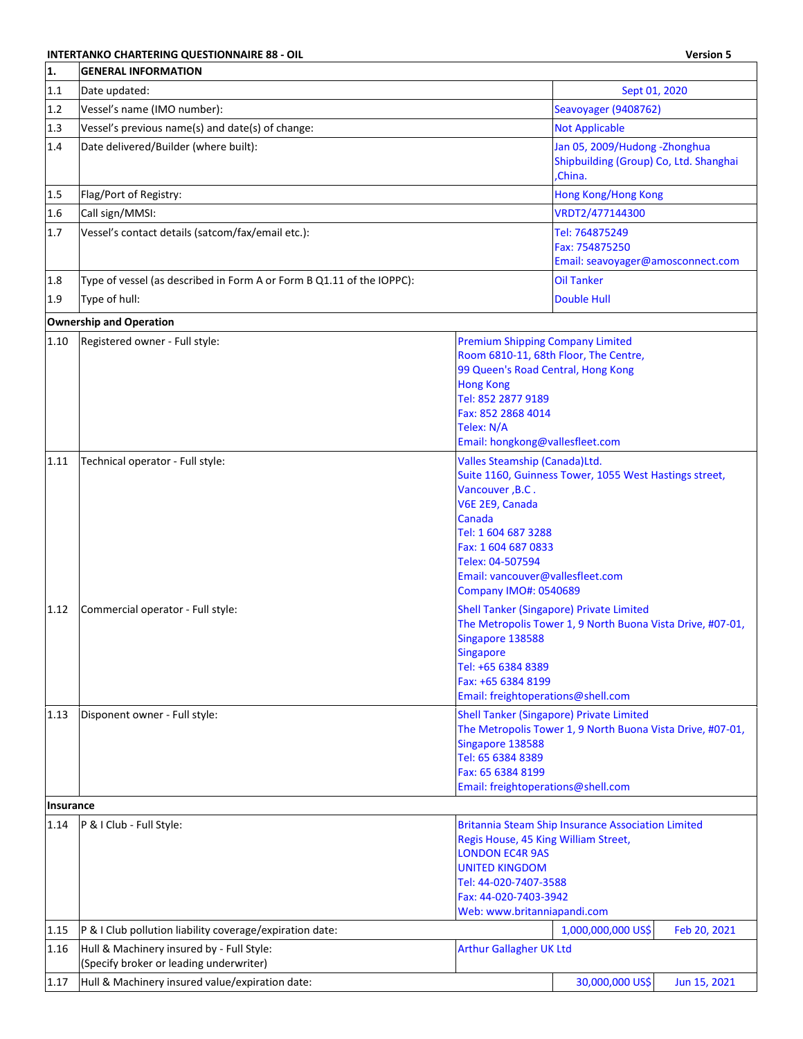## **INTERTANKO CHARTERING QUESTIONNAIRE 88 - OIL Version 5**

| 1.           | <b>GENERAL INFORMATION</b>                                                           |                                                                                                                                                                                                                     |                                                                                                                                                                                                                         |
|--------------|--------------------------------------------------------------------------------------|---------------------------------------------------------------------------------------------------------------------------------------------------------------------------------------------------------------------|-------------------------------------------------------------------------------------------------------------------------------------------------------------------------------------------------------------------------|
| 1.1          | Date updated:                                                                        |                                                                                                                                                                                                                     | Sept 01, 2020                                                                                                                                                                                                           |
| 1.2          | Vessel's name (IMO number):                                                          |                                                                                                                                                                                                                     | Seavoyager (9408762)                                                                                                                                                                                                    |
| 1.3          | Vessel's previous name(s) and date(s) of change:                                     |                                                                                                                                                                                                                     | <b>Not Applicable</b>                                                                                                                                                                                                   |
| 1.4          | Date delivered/Builder (where built):                                                |                                                                                                                                                                                                                     | Jan 05, 2009/Hudong - Zhonghua<br>Shipbuilding (Group) Co, Ltd. Shanghai<br>China.                                                                                                                                      |
| $1.5$        | Flag/Port of Registry:                                                               |                                                                                                                                                                                                                     | <b>Hong Kong/Hong Kong</b>                                                                                                                                                                                              |
| 1.6          | Call sign/MMSI:                                                                      |                                                                                                                                                                                                                     | VRDT2/477144300                                                                                                                                                                                                         |
| 1.7          | Vessel's contact details (satcom/fax/email etc.):                                    |                                                                                                                                                                                                                     | Tel: 764875249<br>Fax: 754875250<br>Email: seavoyager@amosconnect.com                                                                                                                                                   |
| 1.8          | Type of vessel (as described in Form A or Form B Q1.11 of the IOPPC):                |                                                                                                                                                                                                                     | <b>Oil Tanker</b>                                                                                                                                                                                                       |
| 1.9          | Type of hull:                                                                        |                                                                                                                                                                                                                     | <b>Double Hull</b>                                                                                                                                                                                                      |
|              | <b>Ownership and Operation</b>                                                       |                                                                                                                                                                                                                     |                                                                                                                                                                                                                         |
| 1.10         | Registered owner - Full style:                                                       | <b>Premium Shipping Company Limited</b><br>99 Queen's Road Central, Hong Kong<br><b>Hong Kong</b><br>Tel: 852 2877 9189<br>Fax: 852 2868 4014<br>Telex: N/A<br>Email: hongkong@vallesfleet.com                      | Room 6810-11, 68th Floor, The Centre,                                                                                                                                                                                   |
| 1.11         | Technical operator - Full style:                                                     | Valles Steamship (Canada)Ltd.<br>Vancouver, B.C.<br>V6E 2E9, Canada<br>Canada<br>Tel: 1 604 687 3288<br>Fax: 1 604 687 0833<br>Telex: 04-507594<br>Email: vancouver@vallesfleet.com<br><b>Company IMO#: 0540689</b> | Suite 1160, Guinness Tower, 1055 West Hastings street,                                                                                                                                                                  |
| 1.12<br>1.13 | Commercial operator - Full style:<br>Disponent owner - Full style:                   | Singapore 138588<br>Singapore<br>Tel: +65 6384 8389<br>Fax: +65 6384 8199<br>Email: freightoperations@shell.com                                                                                                     | Shell Tanker (Singapore) Private Limited<br>The Metropolis Tower 1, 9 North Buona Vista Drive, #07-01,<br><b>Shell Tanker (Singapore) Private Limited</b><br>The Metropolis Tower 1, 9 North Buona Vista Drive, #07-01, |
|              |                                                                                      | Singapore 138588<br>Tel: 65 6384 8389<br>Fax: 65 6384 8199<br>Email: freightoperations@shell.com                                                                                                                    |                                                                                                                                                                                                                         |
| Insurance    |                                                                                      |                                                                                                                                                                                                                     |                                                                                                                                                                                                                         |
| 1.14         | P & I Club - Full Style:                                                             | Regis House, 45 King William Street,<br><b>LONDON EC4R 9AS</b><br><b>UNITED KINGDOM</b><br>Tel: 44-020-7407-3588<br>Fax: 44-020-7403-3942<br>Web: www.britanniapandi.com                                            | <b>Britannia Steam Ship Insurance Association Limited</b>                                                                                                                                                               |
| 1.15         | P & I Club pollution liability coverage/expiration date:                             |                                                                                                                                                                                                                     | 1,000,000,000 US\$<br>Feb 20, 2021                                                                                                                                                                                      |
| 1.16         | Hull & Machinery insured by - Full Style:<br>(Specify broker or leading underwriter) | <b>Arthur Gallagher UK Ltd</b>                                                                                                                                                                                      |                                                                                                                                                                                                                         |
| 1.17         | Hull & Machinery insured value/expiration date:                                      |                                                                                                                                                                                                                     | 30,000,000 US\$<br>Jun 15, 2021                                                                                                                                                                                         |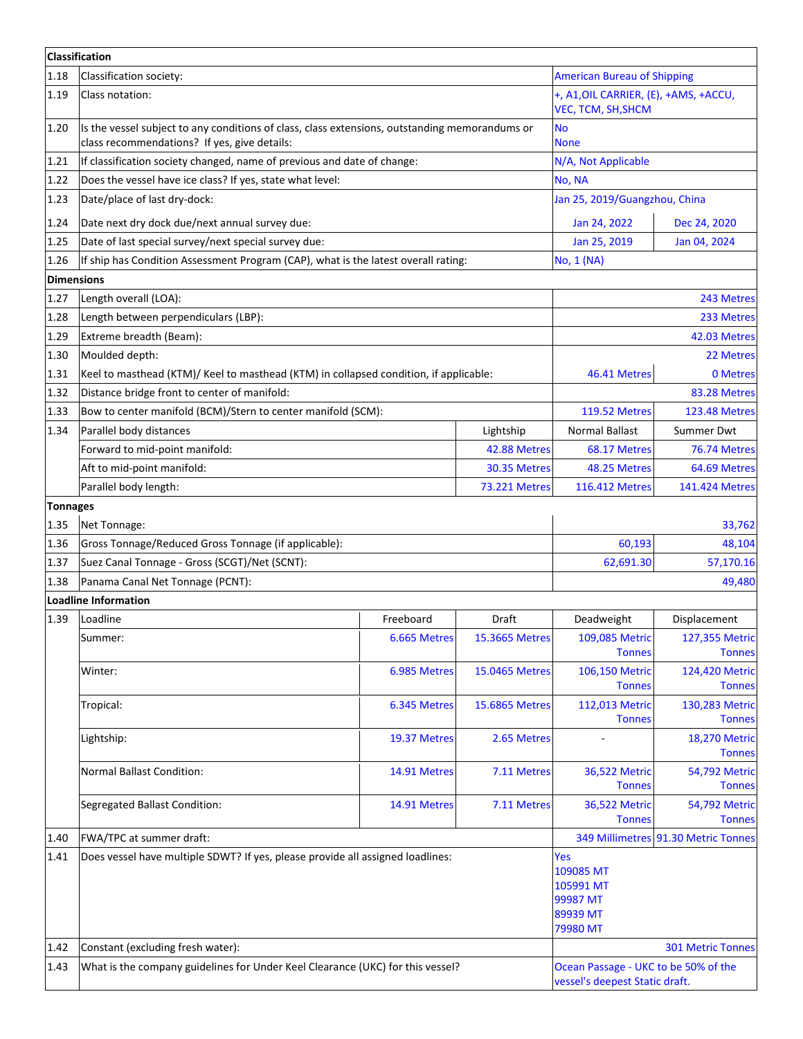|                   | <b>Classification</b>                                                                                                                          |                                    |                       |                                                                        |                                       |
|-------------------|------------------------------------------------------------------------------------------------------------------------------------------------|------------------------------------|-----------------------|------------------------------------------------------------------------|---------------------------------------|
| 1.18              | Classification society:                                                                                                                        | <b>American Bureau of Shipping</b> |                       |                                                                        |                                       |
| 1.19              | Class notation:                                                                                                                                |                                    |                       | +, A1, OIL CARRIER, (E), +AMS, +ACCU,<br>VEC, TCM, SH, SHCM            |                                       |
| 1.20              | Is the vessel subject to any conditions of class, class extensions, outstanding memorandums or<br>class recommendations? If yes, give details: |                                    |                       | <b>No</b><br><b>None</b>                                               |                                       |
| 1.21              | If classification society changed, name of previous and date of change:                                                                        |                                    |                       | N/A, Not Applicable                                                    |                                       |
| 1.22              | Does the vessel have ice class? If yes, state what level:                                                                                      |                                    |                       | No, NA                                                                 |                                       |
| 1.23              | Date/place of last dry-dock:                                                                                                                   | Jan 25, 2019/Guangzhou, China      |                       |                                                                        |                                       |
| 1.24              | Date next dry dock due/next annual survey due:                                                                                                 |                                    |                       | Jan 24, 2022                                                           | Dec 24, 2020                          |
| 1.25              | Date of last special survey/next special survey due:                                                                                           |                                    |                       | Jan 25, 2019                                                           | Jan 04, 2024                          |
| 1.26              | If ship has Condition Assessment Program (CAP), what is the latest overall rating:                                                             |                                    |                       | No, 1 (NA)                                                             |                                       |
| <b>Dimensions</b> |                                                                                                                                                |                                    |                       |                                                                        |                                       |
| 1.27              | Length overall (LOA):                                                                                                                          |                                    |                       |                                                                        | 243 Metres                            |
| 1.28              | Length between perpendiculars (LBP):                                                                                                           |                                    |                       |                                                                        | 233 Metres                            |
| 1.29              | Extreme breadth (Beam):                                                                                                                        |                                    |                       |                                                                        | 42.03 Metres                          |
| 1.30              | Moulded depth:                                                                                                                                 |                                    |                       |                                                                        | 22 Metres                             |
| 1.31              | Keel to masthead (KTM)/ Keel to masthead (KTM) in collapsed condition, if applicable:                                                          |                                    |                       | 46.41 Metres                                                           | 0 Metres                              |
| 1.32              | Distance bridge front to center of manifold:                                                                                                   |                                    |                       |                                                                        | 83.28 Metres                          |
| 1.33              | Bow to center manifold (BCM)/Stern to center manifold (SCM):                                                                                   |                                    |                       | <b>119.52 Metres</b>                                                   | <b>123.48 Metres</b>                  |
| 1.34              | Parallel body distances                                                                                                                        |                                    | Lightship             | <b>Normal Ballast</b>                                                  | Summer Dwt                            |
|                   | Forward to mid-point manifold:                                                                                                                 |                                    | 42.88 Metres          | 68.17 Metres                                                           | 76.74 Metres                          |
|                   | Aft to mid-point manifold:                                                                                                                     |                                    | 30.35 Metres          | 48.25 Metres                                                           | 64.69 Metres                          |
|                   | Parallel body length:                                                                                                                          |                                    | <b>73.221 Metres</b>  | <b>116.412 Metres</b>                                                  | 141.424 Metres                        |
| <b>Tonnages</b>   |                                                                                                                                                |                                    |                       |                                                                        |                                       |
| 1.35              | Net Tonnage:                                                                                                                                   |                                    |                       |                                                                        | 33,762                                |
| 1.36              | Gross Tonnage/Reduced Gross Tonnage (if applicable):                                                                                           |                                    |                       | 60,193                                                                 | 48,104                                |
| 1.37              | Suez Canal Tonnage - Gross (SCGT)/Net (SCNT):                                                                                                  |                                    |                       | 62,691.30                                                              | 57,170.16                             |
| 1.38              | Panama Canal Net Tonnage (PCNT):                                                                                                               |                                    |                       |                                                                        | 49,480                                |
|                   | <b>Loadline Information</b>                                                                                                                    |                                    |                       |                                                                        |                                       |
| 1.39              | Loadline                                                                                                                                       | Freeboard                          | Draft                 | Deadweight                                                             | Displacement                          |
|                   | Summer:                                                                                                                                        | 6.665 Metres                       | 15.3665 Metres        | 109,085 Metric                                                         | 127,355 Metric                        |
|                   |                                                                                                                                                |                                    |                       | <b>Tonnes</b>                                                          | <b>Tonnes</b>                         |
|                   | Winter:                                                                                                                                        | 6.985 Metres                       | 15.0465 Metres        | 106,150 Metric<br><b>Tonnes</b>                                        | 124,420 Metric<br><b>Tonnes</b>       |
|                   | Tropical:                                                                                                                                      | 6.345 Metres                       | <b>15.6865 Metres</b> | 112,013 Metric<br><b>Tonnes</b>                                        | 130,283 Metric<br><b>Tonnes</b>       |
|                   | Lightship:                                                                                                                                     | 19.37 Metres                       | 2.65 Metres           |                                                                        | <b>18,270 Metric</b><br><b>Tonnes</b> |
|                   | <b>Normal Ballast Condition:</b>                                                                                                               | 14.91 Metres                       | 7.11 Metres           | 36,522 Metric<br><b>Tonnes</b>                                         | 54,792 Metric<br><b>Tonnes</b>        |
|                   | Segregated Ballast Condition:                                                                                                                  | 14.91 Metres                       | 7.11 Metres           | <b>36,522 Metric</b><br><b>Tonnes</b>                                  | 54,792 Metric<br><b>Tonnes</b>        |
| 1.40              | FWA/TPC at summer draft:                                                                                                                       |                                    |                       |                                                                        | 349 Millimetres 91.30 Metric Tonnes   |
| 1.41              | Does vessel have multiple SDWT? If yes, please provide all assigned loadlines:                                                                 |                                    |                       | Yes<br>109085 MT<br>105991 MT<br>99987 MT<br>89939 MT<br>79980 MT      |                                       |
| 1.42              | Constant (excluding fresh water):                                                                                                              |                                    |                       |                                                                        | <b>301 Metric Tonnes</b>              |
| 1.43              | What is the company guidelines for Under Keel Clearance (UKC) for this vessel?                                                                 |                                    |                       | Ocean Passage - UKC to be 50% of the<br>vessel's deepest Static draft. |                                       |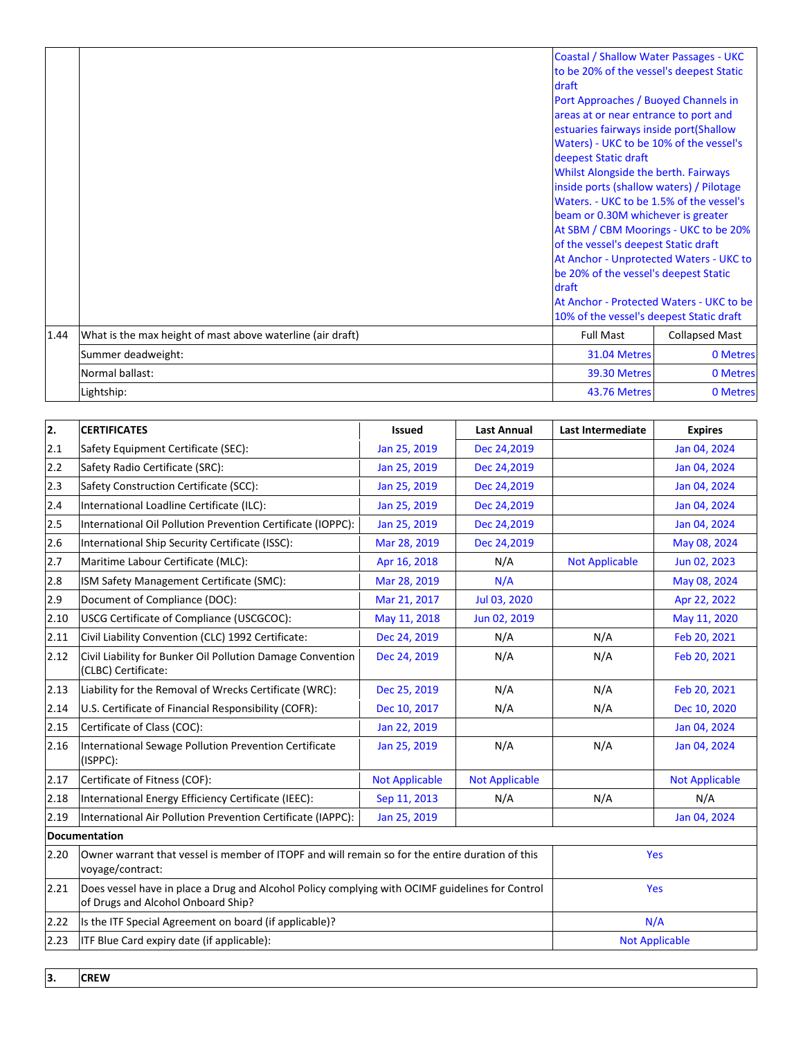|      |                                                            | <b>Coastal / Shallow Water Passages - UKC</b><br>to be 20% of the vessel's deepest Static<br>draft<br>Port Approaches / Buoyed Channels in<br>areas at or near entrance to port and<br>estuaries fairways inside port(Shallow<br>Waters) - UKC to be 10% of the vessel's<br>deepest Static draft<br>Whilst Alongside the berth. Fairways<br>inside ports (shallow waters) / Pilotage<br>Waters. - UKC to be 1.5% of the vessel's<br>beam or 0.30M whichever is greater<br>At SBM / CBM Moorings - UKC to be 20%<br>of the vessel's deepest Static draft<br>At Anchor - Unprotected Waters - UKC to<br>be 20% of the vessel's deepest Static<br>draft<br>At Anchor - Protected Waters - UKC to be<br>10% of the vessel's deepest Static draft |                       |
|------|------------------------------------------------------------|----------------------------------------------------------------------------------------------------------------------------------------------------------------------------------------------------------------------------------------------------------------------------------------------------------------------------------------------------------------------------------------------------------------------------------------------------------------------------------------------------------------------------------------------------------------------------------------------------------------------------------------------------------------------------------------------------------------------------------------------|-----------------------|
| 1.44 | What is the max height of mast above waterline (air draft) | <b>Full Mast</b>                                                                                                                                                                                                                                                                                                                                                                                                                                                                                                                                                                                                                                                                                                                             | <b>Collapsed Mast</b> |
|      | Summer deadweight:                                         | 31.04 Metres                                                                                                                                                                                                                                                                                                                                                                                                                                                                                                                                                                                                                                                                                                                                 | 0 Metres              |
|      | Normal ballast:                                            | 39.30 Metres                                                                                                                                                                                                                                                                                                                                                                                                                                                                                                                                                                                                                                                                                                                                 | 0 Metres              |
|      | Lightship:                                                 | 43.76 Metres                                                                                                                                                                                                                                                                                                                                                                                                                                                                                                                                                                                                                                                                                                                                 | 0 Metres              |

| 2.   | <b>CERTIFICATES</b>                                                                                                                   | <b>Issued</b>         | <b>Last Annual</b>    | Last Intermediate     | <b>Expires</b>        |
|------|---------------------------------------------------------------------------------------------------------------------------------------|-----------------------|-----------------------|-----------------------|-----------------------|
| 2.1  | Safety Equipment Certificate (SEC):                                                                                                   | Jan 25, 2019          | Dec 24,2019           |                       | Jan 04, 2024          |
| 2.2  | Safety Radio Certificate (SRC):                                                                                                       | Jan 25, 2019          | Dec 24,2019           |                       | Jan 04, 2024          |
| 2.3  | Safety Construction Certificate (SCC):                                                                                                | Jan 25, 2019          | Dec 24,2019           |                       | Jan 04, 2024          |
| 2.4  | International Loadline Certificate (ILC):                                                                                             | Jan 25, 2019          | Dec 24,2019           |                       | Jan 04, 2024          |
| 2.5  | International Oil Pollution Prevention Certificate (IOPPC):                                                                           | Jan 25, 2019          | Dec 24,2019           |                       | Jan 04, 2024          |
| 2.6  | International Ship Security Certificate (ISSC):                                                                                       | Mar 28, 2019          | Dec 24,2019           |                       | May 08, 2024          |
| 2.7  | Maritime Labour Certificate (MLC):                                                                                                    | Apr 16, 2018          | N/A                   | <b>Not Applicable</b> | Jun 02, 2023          |
| 2.8  | ISM Safety Management Certificate (SMC):                                                                                              | Mar 28, 2019          | N/A                   |                       | May 08, 2024          |
| 2.9  | Document of Compliance (DOC):                                                                                                         | Mar 21, 2017          | Jul 03, 2020          |                       | Apr 22, 2022          |
| 2.10 | USCG Certificate of Compliance (USCGCOC):                                                                                             | May 11, 2018          | Jun 02, 2019          |                       | May 11, 2020          |
| 2.11 | Civil Liability Convention (CLC) 1992 Certificate:                                                                                    | Dec 24, 2019          | N/A                   | N/A                   | Feb 20, 2021          |
| 2.12 | Civil Liability for Bunker Oil Pollution Damage Convention<br>(CLBC) Certificate:                                                     | Dec 24, 2019          | N/A                   | N/A                   | Feb 20, 2021          |
| 2.13 | Liability for the Removal of Wrecks Certificate (WRC):                                                                                | Dec 25, 2019          | N/A                   | N/A                   | Feb 20, 2021          |
| 2.14 | U.S. Certificate of Financial Responsibility (COFR):                                                                                  | Dec 10, 2017          | N/A                   | N/A                   | Dec 10, 2020          |
| 2.15 | Certificate of Class (COC):                                                                                                           | Jan 22, 2019          |                       |                       | Jan 04, 2024          |
| 2.16 | International Sewage Pollution Prevention Certificate<br>(ISPPC):                                                                     | Jan 25, 2019          | N/A                   | N/A                   | Jan 04, 2024          |
| 2.17 | Certificate of Fitness (COF):                                                                                                         | <b>Not Applicable</b> | <b>Not Applicable</b> |                       | <b>Not Applicable</b> |
| 2.18 | International Energy Efficiency Certificate (IEEC):                                                                                   | Sep 11, 2013          | N/A                   | N/A                   | N/A                   |
| 2.19 | International Air Pollution Prevention Certificate (IAPPC):                                                                           | Jan 25, 2019          |                       |                       | Jan 04, 2024          |
|      | <b>Documentation</b>                                                                                                                  |                       |                       |                       |                       |
| 2.20 | Owner warrant that vessel is member of ITOPF and will remain so for the entire duration of this<br>voyage/contract:                   |                       |                       | Yes                   |                       |
| 2.21 | Does vessel have in place a Drug and Alcohol Policy complying with OCIMF guidelines for Control<br>of Drugs and Alcohol Onboard Ship? |                       |                       | Yes                   |                       |
| 2.22 | Is the ITF Special Agreement on board (if applicable)?                                                                                |                       |                       | N/A                   |                       |
| 2.23 | ITF Blue Card expiry date (if applicable):                                                                                            |                       |                       | <b>Not Applicable</b> |                       |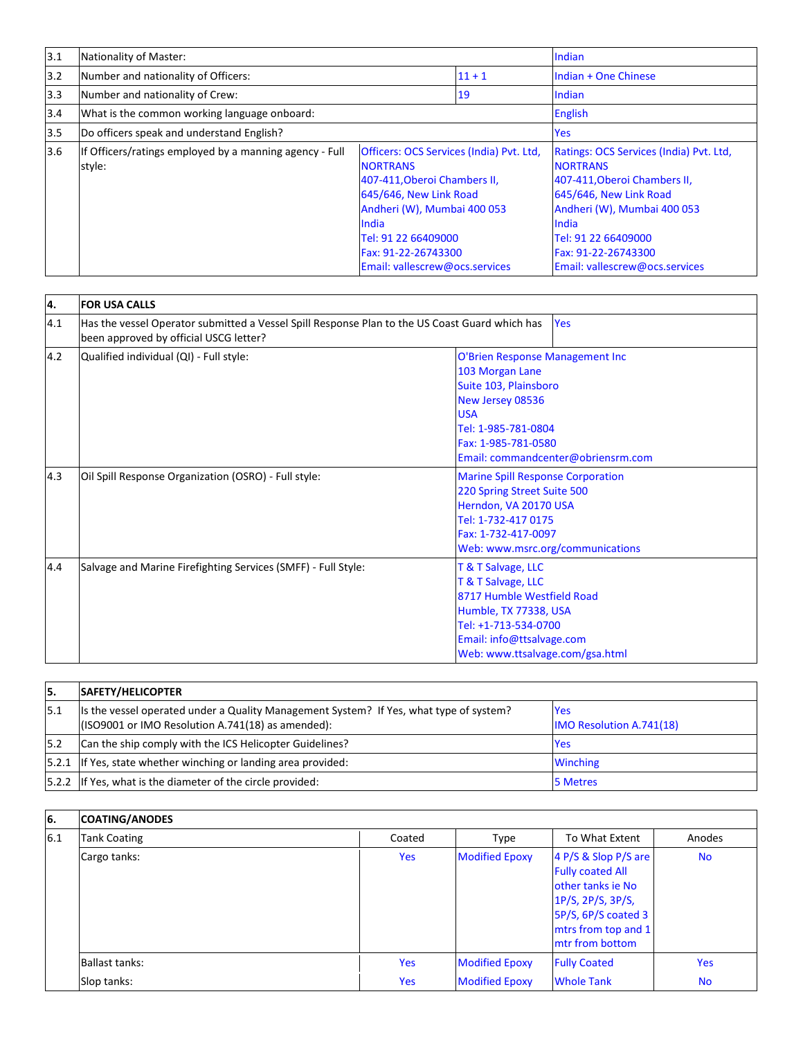| 3.1 | Nationality of Master:                                            |                                                                                                                                                                                                                                               |          | Indian                                                                                                                                                                                                                                       |
|-----|-------------------------------------------------------------------|-----------------------------------------------------------------------------------------------------------------------------------------------------------------------------------------------------------------------------------------------|----------|----------------------------------------------------------------------------------------------------------------------------------------------------------------------------------------------------------------------------------------------|
| 3.2 | Number and nationality of Officers:                               |                                                                                                                                                                                                                                               | $11 + 1$ | Indian + One Chinese                                                                                                                                                                                                                         |
| 3.3 | Number and nationality of Crew:                                   |                                                                                                                                                                                                                                               | 19       | Indian                                                                                                                                                                                                                                       |
| 3.4 | What is the common working language onboard:                      |                                                                                                                                                                                                                                               |          | <b>English</b>                                                                                                                                                                                                                               |
| 3.5 | Do officers speak and understand English?                         |                                                                                                                                                                                                                                               |          | <b>Yes</b>                                                                                                                                                                                                                                   |
| 3.6 | If Officers/ratings employed by a manning agency - Full<br>style: | Officers: OCS Services (India) Pvt. Ltd.<br><b>NORTRANS</b><br>407-411, Oberoi Chambers II,<br>645/646, New Link Road<br>Andheri (W), Mumbai 400 053<br>India<br>Tel: 91 22 66409000<br>Fax: 91-22-26743300<br>Email: vallescrew@ocs.services |          | Ratings: OCS Services (India) Pvt. Ltd,<br><b>NORTRANS</b><br>407-411, Oberoi Chambers II,<br>645/646, New Link Road<br>Andheri (W), Mumbai 400 053<br>India<br>Tel: 91 22 66409000<br>Fax: 91-22-26743300<br>Email: vallescrew@ocs.services |

| 4.  | <b>FOR USA CALLS</b>                                                                                                                     |                                                                                                                                                                                                   |  |  |
|-----|------------------------------------------------------------------------------------------------------------------------------------------|---------------------------------------------------------------------------------------------------------------------------------------------------------------------------------------------------|--|--|
| 4.1 | Has the vessel Operator submitted a Vessel Spill Response Plan to the US Coast Guard which has<br>been approved by official USCG letter? | Yes                                                                                                                                                                                               |  |  |
| 4.2 | Qualified individual (QI) - Full style:                                                                                                  | O'Brien Response Management Inc<br>103 Morgan Lane<br>Suite 103, Plainsboro<br>New Jersey 08536<br><b>USA</b><br>Tel: 1-985-781-0804<br>Fax: 1-985-781-0580<br>Email: commandcenter@obriensrm.com |  |  |
| 4.3 | Oil Spill Response Organization (OSRO) - Full style:                                                                                     | <b>Marine Spill Response Corporation</b><br>220 Spring Street Suite 500<br>Herndon, VA 20170 USA<br>Tel: 1-732-417 0175<br>Fax: 1-732-417-0097<br>Web: www.msrc.org/communications                |  |  |
| 4.4 | Salvage and Marine Firefighting Services (SMFF) - Full Style:                                                                            | T & T Salvage, LLC<br>T & T Salvage, LLC<br>8717 Humble Westfield Road<br>Humble, TX 77338, USA<br>Tel: +1-713-534-0700<br>Email: info@ttsalvage.com<br>Web: www.ttsalvage.com/gsa.html           |  |  |

| 15.  | SAFETY/HELICOPTER                                                                                                                            |                                               |
|------|----------------------------------------------------------------------------------------------------------------------------------------------|-----------------------------------------------|
| 15.1 | Its the vessel operated under a Quality Management System? If Yes, what type of system?<br>(ISO9001 or IMO Resolution A.741(18) as amended): | <b>Yes</b><br><b>IMO Resolution A.741(18)</b> |
| 5.2  | Can the ship comply with the ICS Helicopter Guidelines?                                                                                      | <b>Yes</b>                                    |
|      | [5.2.1   If Yes, state whether winching or landing area provided:                                                                            | <b>Winching</b>                               |
|      | [5.2.2 If Yes, what is the diameter of the circle provided:                                                                                  | 5 Metres                                      |

i

e<br>Li

## **6. COATING/ANODES**

| 6.1 | <b>Tank Coating</b> | Coated     | Type                  | To What Extent                                                                                                                                             | Anodes     |
|-----|---------------------|------------|-----------------------|------------------------------------------------------------------------------------------------------------------------------------------------------------|------------|
|     | Cargo tanks:        | <b>Yes</b> | <b>Modified Epoxy</b> | 4 P/S & Slop P/S are<br><b>Fully coated All</b><br>other tanks ie No<br>1P/S, 2P/S, 3P/S,<br>5P/S, 6P/S coated 3<br>mtrs from top and 1<br>mtr from bottom | <b>No</b>  |
|     | Ballast tanks:      | Yes        | <b>Modified Epoxy</b> | <b>Fully Coated</b>                                                                                                                                        | <b>Yes</b> |
|     | Slop tanks:         | Yes        | <b>Modified Epoxy</b> | <b>Whole Tank</b>                                                                                                                                          | <b>No</b>  |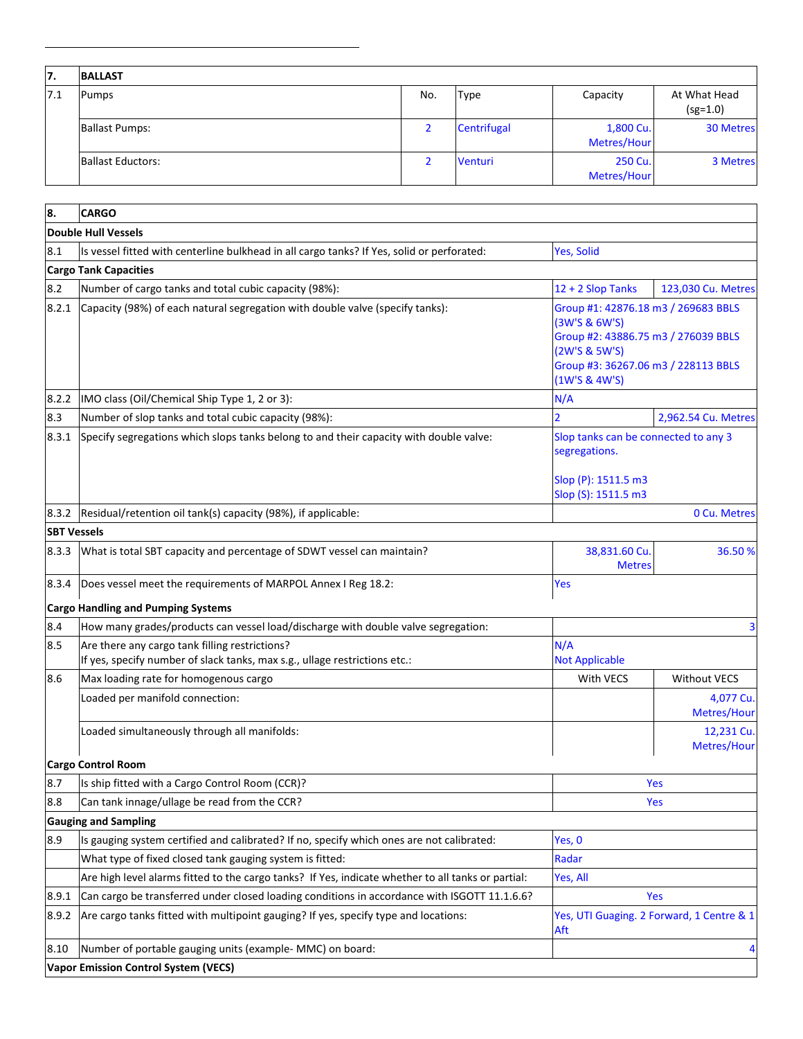| 17. | <b>BALLAST</b>           |     |             |                          |                            |
|-----|--------------------------|-----|-------------|--------------------------|----------------------------|
| 7.1 | <b>Pumps</b>             | No. | <b>Type</b> | Capacity                 | At What Head<br>$(sg=1.0)$ |
|     | <b>Ballast Pumps:</b>    |     | Centrifugal | 1,800 Cu.<br>Metres/Hour | <b>30 Metres</b>           |
|     | <b>Ballast Eductors:</b> |     | Venturi     | 250 Cu.<br>Metres/Hour   | 3 Metres                   |

| 8.                 | <b>CARGO</b>                                                                                                                 |                                                                                                                                                                      |                                           |
|--------------------|------------------------------------------------------------------------------------------------------------------------------|----------------------------------------------------------------------------------------------------------------------------------------------------------------------|-------------------------------------------|
|                    | <b>Double Hull Vessels</b>                                                                                                   |                                                                                                                                                                      |                                           |
| 8.1                | Is vessel fitted with centerline bulkhead in all cargo tanks? If Yes, solid or perforated:                                   | Yes, Solid                                                                                                                                                           |                                           |
|                    | <b>Cargo Tank Capacities</b>                                                                                                 |                                                                                                                                                                      |                                           |
| 8.2                | Number of cargo tanks and total cubic capacity (98%):                                                                        | 12 + 2 Slop Tanks                                                                                                                                                    | 123,030 Cu. Metres                        |
| 8.2.1              | Capacity (98%) of each natural segregation with double valve (specify tanks):                                                | Group #1: 42876.18 m3 / 269683 BBLS<br>(3W'S & 6W'S)<br>Group #2: 43886.75 m3 / 276039 BBLS<br>(2W'S & 5W'S)<br>Group #3: 36267.06 m3 / 228113 BBLS<br>(1W'S & 4W'S) |                                           |
| 8.2.2              | IMO class (Oil/Chemical Ship Type 1, 2 or 3):                                                                                | N/A                                                                                                                                                                  |                                           |
| 8.3                | Number of slop tanks and total cubic capacity (98%):                                                                         | $\mathcal{P}$                                                                                                                                                        | 2,962.54 Cu. Metres                       |
| 8.3.1              | Specify segregations which slops tanks belong to and their capacity with double valve:                                       | Slop tanks can be connected to any 3<br>segregations.<br>Slop (P): 1511.5 m3<br>Slop (S): 1511.5 m3                                                                  |                                           |
| 8.3.2              | Residual/retention oil tank(s) capacity (98%), if applicable:                                                                |                                                                                                                                                                      | 0 Cu. Metres                              |
| <b>SBT Vessels</b> |                                                                                                                              |                                                                                                                                                                      |                                           |
| 8.3.3              | What is total SBT capacity and percentage of SDWT vessel can maintain?                                                       | 38,831.60 Cu<br><b>Metres</b>                                                                                                                                        | 36.50%                                    |
| 8.3.4              | Does vessel meet the requirements of MARPOL Annex I Reg 18.2:                                                                | Yes                                                                                                                                                                  |                                           |
|                    | <b>Cargo Handling and Pumping Systems</b>                                                                                    |                                                                                                                                                                      |                                           |
| 8.4                | How many grades/products can vessel load/discharge with double valve segregation:                                            |                                                                                                                                                                      | 3                                         |
| 8.5                | Are there any cargo tank filling restrictions?<br>If yes, specify number of slack tanks, max s.g., ullage restrictions etc.: | N/A<br><b>Not Applicable</b>                                                                                                                                         |                                           |
| 8.6                | Max loading rate for homogenous cargo                                                                                        | With VECS                                                                                                                                                            | <b>Without VECS</b>                       |
|                    | Loaded per manifold connection:                                                                                              |                                                                                                                                                                      | 4,077 Cu.<br>Metres/Hour                  |
|                    | Loaded simultaneously through all manifolds:                                                                                 |                                                                                                                                                                      | 12,231 Cu.<br>Metres/Hour                 |
|                    | <b>Cargo Control Room</b>                                                                                                    |                                                                                                                                                                      |                                           |
| 8.7                | Is ship fitted with a Cargo Control Room (CCR)?                                                                              |                                                                                                                                                                      | Yes                                       |
| 8.8                | Can tank innage/ullage be read from the CCR?                                                                                 |                                                                                                                                                                      | Yes                                       |
|                    | <b>Gauging and Sampling</b>                                                                                                  |                                                                                                                                                                      |                                           |
| 8.9                | Is gauging system certified and calibrated? If no, specify which ones are not calibrated:                                    | Yes, 0                                                                                                                                                               |                                           |
|                    | What type of fixed closed tank gauging system is fitted:                                                                     | Radar                                                                                                                                                                |                                           |
|                    | Are high level alarms fitted to the cargo tanks? If Yes, indicate whether to all tanks or partial:                           | Yes, All                                                                                                                                                             |                                           |
| 8.9.1              | Can cargo be transferred under closed loading conditions in accordance with ISGOTT 11.1.6.6?                                 |                                                                                                                                                                      | Yes                                       |
| 8.9.2              | Are cargo tanks fitted with multipoint gauging? If yes, specify type and locations:                                          | Aft                                                                                                                                                                  | Yes, UTI Guaging. 2 Forward, 1 Centre & 1 |
| 8.10               | Number of portable gauging units (example- MMC) on board:                                                                    |                                                                                                                                                                      | 4                                         |
|                    | <b>Vapor Emission Control System (VECS)</b>                                                                                  |                                                                                                                                                                      |                                           |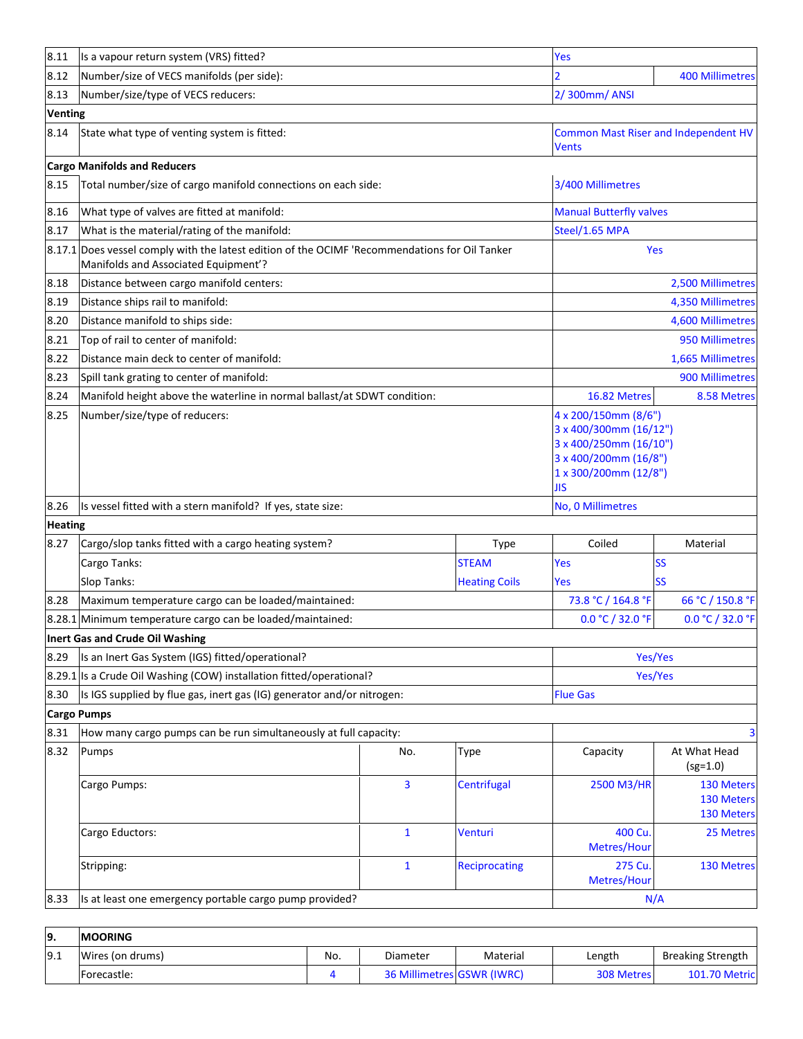| 8.11           | Is a vapour return system (VRS) fitted?                                                                                                |                                                         | Yes                  |                                                                                                                                   |                                        |  |
|----------------|----------------------------------------------------------------------------------------------------------------------------------------|---------------------------------------------------------|----------------------|-----------------------------------------------------------------------------------------------------------------------------------|----------------------------------------|--|
| 8.12           | Number/size of VECS manifolds (per side):                                                                                              |                                                         |                      |                                                                                                                                   | <b>400 Millimetres</b>                 |  |
| 8.13           | Number/size/type of VECS reducers:                                                                                                     |                                                         |                      | 2/300mm/ANSI                                                                                                                      |                                        |  |
| <b>Venting</b> |                                                                                                                                        |                                                         |                      |                                                                                                                                   |                                        |  |
| 8.14           | State what type of venting system is fitted:                                                                                           |                                                         |                      | <b>Common Mast Riser and Independent HV</b><br><b>Vents</b>                                                                       |                                        |  |
|                | <b>Cargo Manifolds and Reducers</b>                                                                                                    |                                                         |                      |                                                                                                                                   |                                        |  |
| 8.15           | Total number/size of cargo manifold connections on each side:                                                                          |                                                         |                      | 3/400 Millimetres                                                                                                                 |                                        |  |
| 8.16           | What type of valves are fitted at manifold:                                                                                            |                                                         |                      | <b>Manual Butterfly valves</b>                                                                                                    |                                        |  |
| 8.17           | What is the material/rating of the manifold:                                                                                           |                                                         |                      | Steel/1.65 MPA                                                                                                                    |                                        |  |
|                | 8.17.1 Does vessel comply with the latest edition of the OCIMF 'Recommendations for Oil Tanker<br>Manifolds and Associated Equipment'? |                                                         |                      |                                                                                                                                   | Yes                                    |  |
| 8.18           | Distance between cargo manifold centers:                                                                                               |                                                         |                      |                                                                                                                                   | 2,500 Millimetres                      |  |
| 8.19           | Distance ships rail to manifold:                                                                                                       |                                                         |                      |                                                                                                                                   | 4,350 Millimetres                      |  |
| 8.20           | Distance manifold to ships side:                                                                                                       |                                                         |                      |                                                                                                                                   | 4,600 Millimetres                      |  |
| 8.21           | Top of rail to center of manifold:                                                                                                     |                                                         |                      |                                                                                                                                   | 950 Millimetres                        |  |
| 8.22           | Distance main deck to center of manifold:                                                                                              |                                                         |                      |                                                                                                                                   | 1,665 Millimetres                      |  |
| 8.23           | Spill tank grating to center of manifold:                                                                                              |                                                         |                      |                                                                                                                                   | 900 Millimetres                        |  |
| 8.24           | Manifold height above the waterline in normal ballast/at SDWT condition:                                                               |                                                         |                      | 16.82 Metres                                                                                                                      | 8.58 Metres                            |  |
| 8.25           | Number/size/type of reducers:                                                                                                          |                                                         |                      | 4 x 200/150mm (8/6")<br>3 x 400/300mm (16/12")<br>3 x 400/250mm (16/10")<br>3 x 400/200mm (16/8")<br>1 x 300/200mm (12/8")<br>JIS |                                        |  |
| 8.26           | Is vessel fitted with a stern manifold? If yes, state size:                                                                            |                                                         |                      | No, 0 Millimetres                                                                                                                 |                                        |  |
| <b>Heating</b> |                                                                                                                                        |                                                         |                      |                                                                                                                                   |                                        |  |
| 8.27           | Cargo/slop tanks fitted with a cargo heating system?                                                                                   |                                                         | Type                 | Coiled                                                                                                                            | Material                               |  |
|                | Cargo Tanks:                                                                                                                           |                                                         | <b>STEAM</b>         | Yes                                                                                                                               | <b>SS</b>                              |  |
|                | Slop Tanks:                                                                                                                            |                                                         | <b>Heating Coils</b> | Yes                                                                                                                               | <b>SS</b>                              |  |
| 8.28           | Maximum temperature cargo can be loaded/maintained:                                                                                    |                                                         |                      | 73.8 °C / 164.8 °F                                                                                                                | 66 °C / 150.8 °F                       |  |
|                | 8.28.1 Minimum temperature cargo can be loaded/maintained:                                                                             |                                                         |                      | 0.0 °C / 32.0 °F                                                                                                                  | 0.0 °C / 32.0 °F                       |  |
|                | Inert Gas and Crude Oil Washing                                                                                                        |                                                         |                      |                                                                                                                                   |                                        |  |
| 8.29           | Is an Inert Gas System (IGS) fitted/operational?                                                                                       |                                                         |                      |                                                                                                                                   | Yes/Yes                                |  |
|                | 8.29.1 Is a Crude Oil Washing (COW) installation fitted/operational?                                                                   |                                                         |                      | Yes/Yes                                                                                                                           |                                        |  |
| 8.30           | Is IGS supplied by flue gas, inert gas (IG) generator and/or nitrogen:                                                                 |                                                         |                      | <b>Flue Gas</b>                                                                                                                   |                                        |  |
|                | <b>Cargo Pumps</b>                                                                                                                     |                                                         |                      |                                                                                                                                   |                                        |  |
| 8.31           | How many cargo pumps can be run simultaneously at full capacity:                                                                       |                                                         |                      |                                                                                                                                   | 3                                      |  |
| 8.32           | Pumps                                                                                                                                  | No.                                                     | Type                 | Capacity                                                                                                                          | At What Head<br>$(sg=1.0)$             |  |
|                | Cargo Pumps:                                                                                                                           | $\overline{3}$                                          | Centrifugal          | 2500 M3/HR                                                                                                                        | 130 Meters<br>130 Meters<br>130 Meters |  |
|                | Cargo Eductors:                                                                                                                        | $\mathbf{1}$                                            | <b>Venturi</b>       | 400 Cu.<br>Metres/Hour                                                                                                            | 25 Metres                              |  |
|                | Stripping:                                                                                                                             | $\mathbf{1}$                                            | Reciprocating        | 275 Cu.<br>Metres/Hour                                                                                                            | 130 Metres                             |  |
|                |                                                                                                                                        | Is at least one emergency portable cargo pump provided? |                      |                                                                                                                                   | N/A                                    |  |

| 19.  | <b>IMOORING</b>  |     |                            |          |                   |                          |  |
|------|------------------|-----|----------------------------|----------|-------------------|--------------------------|--|
| 19.1 | Wires (on drums) | No. | Diameter                   | Material | Length            | <b>Breaking Strength</b> |  |
|      | Forecastle:      |     | 36 Millimetres GSWR (IWRC) |          | <b>308 Metres</b> | <b>101.70 Metric</b>     |  |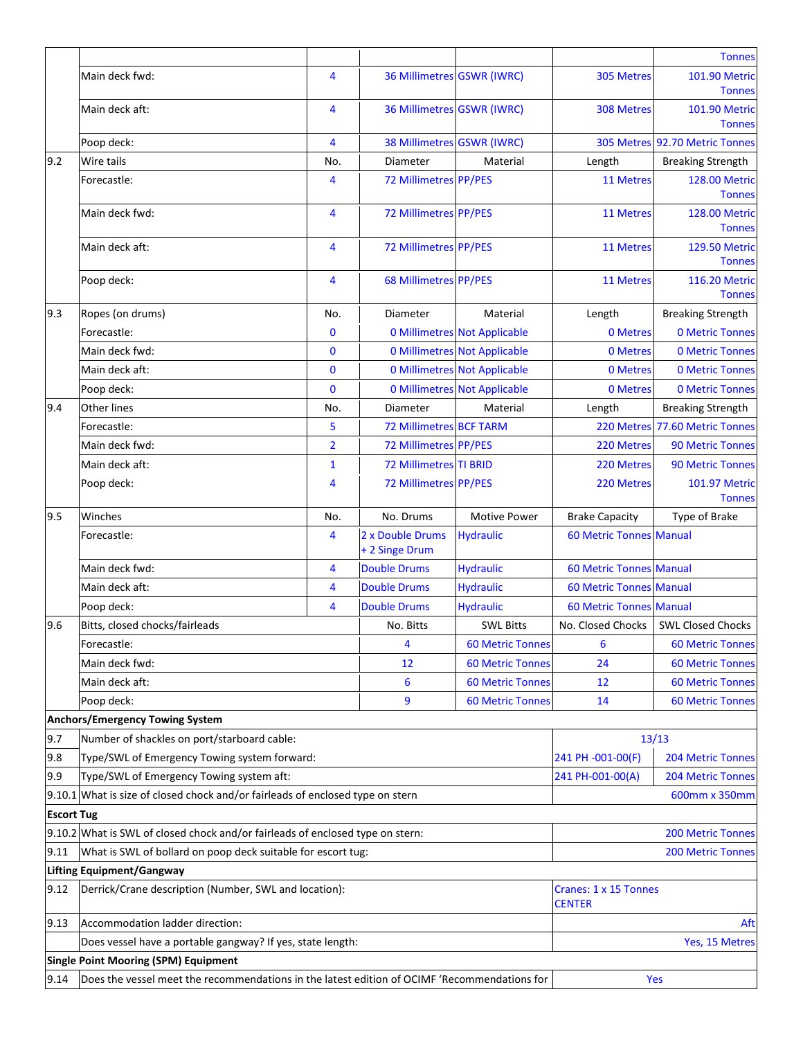|                                                                                                                    |                                                                                |                                                       |                                    |                                     |                                        | <b>Tonnes</b>                         |
|--------------------------------------------------------------------------------------------------------------------|--------------------------------------------------------------------------------|-------------------------------------------------------|------------------------------------|-------------------------------------|----------------------------------------|---------------------------------------|
|                                                                                                                    | Main deck fwd:                                                                 | 4                                                     | 36 Millimetres GSWR (IWRC)         |                                     | <b>305 Metres</b>                      | 101.90 Metric<br><b>Tonnes</b>        |
|                                                                                                                    | Main deck aft:                                                                 | 4                                                     | 36 Millimetres GSWR (IWRC)         |                                     | 308 Metres                             | <b>101.90 Metric</b><br><b>Tonnes</b> |
|                                                                                                                    | Poop deck:                                                                     | 4                                                     | 38 Millimetres GSWR (IWRC)         |                                     |                                        | 305 Metres 92.70 Metric Tonnes        |
| 9.2                                                                                                                | Wire tails                                                                     | No.                                                   | Diameter                           | Material                            | Length                                 | <b>Breaking Strength</b>              |
|                                                                                                                    | Forecastle:                                                                    | 4                                                     | 72 Millimetres PP/PES              |                                     | 11 Metres                              | <b>128.00 Metric</b>                  |
|                                                                                                                    |                                                                                |                                                       |                                    |                                     |                                        | <b>Tonnes</b>                         |
|                                                                                                                    | Main deck fwd:                                                                 | $\overline{4}$                                        | 72 Millimetres PP/PES              |                                     | 11 Metres                              | 128.00 Metric<br><b>Tonnes</b>        |
|                                                                                                                    | Main deck aft:                                                                 | $\overline{4}$                                        | 72 Millimetres PP/PES              |                                     | 11 Metres                              | <b>129.50 Metric</b><br><b>Tonnes</b> |
|                                                                                                                    | Poop deck:                                                                     | 4                                                     | <b>68 Millimetres PP/PES</b>       |                                     | 11 Metres                              | 116.20 Metric<br><b>Tonnes</b>        |
| 9.3                                                                                                                | Ropes (on drums)                                                               | No.                                                   | Diameter                           | Material                            | Length                                 | <b>Breaking Strength</b>              |
|                                                                                                                    | Forecastle:                                                                    | 0                                                     |                                    | <b>0 Millimetres Not Applicable</b> | 0 Metres                               | <b>0 Metric Tonnes</b>                |
|                                                                                                                    | Main deck fwd:                                                                 | $\bf{0}$                                              |                                    | <b>0 Millimetres Not Applicable</b> | 0 Metres                               | <b>0 Metric Tonnes</b>                |
|                                                                                                                    | Main deck aft:                                                                 | $\bf{0}$                                              |                                    | <b>0 Millimetres Not Applicable</b> | 0 Metres                               | <b>0 Metric Tonnes</b>                |
|                                                                                                                    | Poop deck:                                                                     | $\mathbf 0$                                           |                                    | <b>0 Millimetres Not Applicable</b> | 0 Metres                               | <b>0 Metric Tonnes</b>                |
| 9.4                                                                                                                | <b>Other lines</b>                                                             | No.                                                   | Diameter                           | Material                            | Length                                 | <b>Breaking Strength</b>              |
|                                                                                                                    | Forecastle:                                                                    | 5                                                     | <b>72 Millimetres BCF TARM</b>     |                                     |                                        | 220 Metres 77.60 Metric Tonnes        |
|                                                                                                                    | Main deck fwd:                                                                 | $\overline{2}$                                        | 72 Millimetres PP/PES              |                                     | 220 Metres                             | <b>90 Metric Tonnes</b>               |
|                                                                                                                    | Main deck aft:                                                                 | $\mathbf{1}$                                          | <b>72 Millimetres TI BRID</b>      |                                     | 220 Metres                             | <b>90 Metric Tonnes</b>               |
|                                                                                                                    | Poop deck:                                                                     | 4                                                     | 72 Millimetres PP/PES              |                                     | 220 Metres                             | <b>101.97 Metric</b>                  |
|                                                                                                                    |                                                                                |                                                       |                                    |                                     |                                        | <b>Tonnes</b>                         |
| 9.5                                                                                                                | Winches                                                                        | No.                                                   | No. Drums                          | <b>Motive Power</b>                 | <b>Brake Capacity</b>                  | Type of Brake                         |
|                                                                                                                    | Forecastle:                                                                    | 4                                                     | 2 x Double Drums<br>+ 2 Singe Drum | <b>Hydraulic</b>                    | <b>60 Metric Tonnes Manual</b>         |                                       |
|                                                                                                                    | Main deck fwd:                                                                 | 4                                                     | <b>Double Drums</b>                | <b>Hydraulic</b>                    | <b>60 Metric Tonnes Manual</b>         |                                       |
|                                                                                                                    | Main deck aft:                                                                 | 4                                                     | <b>Double Drums</b>                | <b>Hydraulic</b>                    | <b>60 Metric Tonnes Manual</b>         |                                       |
|                                                                                                                    | Poop deck:                                                                     | 4                                                     | <b>Double Drums</b>                | <b>Hydraulic</b>                    | <b>60 Metric Tonnes Manual</b>         |                                       |
| 9.6                                                                                                                | Bitts, closed chocks/fairleads                                                 |                                                       | No. Bitts                          | <b>SWL Bitts</b>                    | No. Closed Chocks                      | <b>SWL Closed Chocks</b>              |
|                                                                                                                    | Forecastle:                                                                    |                                                       | 4                                  | <b>60 Metric Tonnes</b>             | 6                                      | <b>60 Metric Tonnes</b>               |
|                                                                                                                    | Main deck fwd:                                                                 |                                                       | 12                                 | <b>60 Metric Tonnes</b>             | 24                                     | <b>60 Metric Tonnes</b>               |
|                                                                                                                    | Main deck aft:                                                                 |                                                       | 6                                  | <b>60 Metric Tonnes</b>             | 12                                     | <b>60 Metric Tonnes</b>               |
|                                                                                                                    | Poop deck:                                                                     |                                                       | 9                                  | <b>60 Metric Tonnes</b>             | 14                                     | <b>60 Metric Tonnes</b>               |
|                                                                                                                    | <b>Anchors/Emergency Towing System</b>                                         |                                                       |                                    |                                     |                                        |                                       |
| 9.7                                                                                                                | Number of shackles on port/starboard cable:                                    |                                                       |                                    |                                     |                                        | 13/13                                 |
| 9.8                                                                                                                | Type/SWL of Emergency Towing system forward:                                   |                                                       |                                    |                                     | 241 PH -001-00(F)                      | <b>204 Metric Tonnes</b>              |
| 9.9                                                                                                                |                                                                                |                                                       |                                    | 241 PH-001-00(A)                    | <b>204 Metric Tonnes</b>               |                                       |
|                                                                                                                    | Type/SWL of Emergency Towing system aft:                                       |                                                       |                                    |                                     |                                        |                                       |
| 9.10.1 What is size of closed chock and/or fairleads of enclosed type on stern<br>600mm x 350mm                    |                                                                                |                                                       |                                    |                                     |                                        |                                       |
| <b>Escort Tug</b>                                                                                                  |                                                                                |                                                       |                                    |                                     |                                        |                                       |
|                                                                                                                    | 9.10.2 What is SWL of closed chock and/or fairleads of enclosed type on stern: |                                                       |                                    |                                     |                                        | <b>200 Metric Tonnes</b>              |
|                                                                                                                    | 9.11<br>What is SWL of bollard on poop deck suitable for escort tug:           |                                                       |                                    |                                     |                                        | <b>200 Metric Tonnes</b>              |
|                                                                                                                    | <b>Lifting Equipment/Gangway</b>                                               |                                                       |                                    |                                     |                                        |                                       |
| 9.12                                                                                                               |                                                                                | Derrick/Crane description (Number, SWL and location): |                                    |                                     | Cranes: 1 x 15 Tonnes<br><b>CENTER</b> |                                       |
| 9.13                                                                                                               | Accommodation ladder direction:                                                |                                                       |                                    |                                     |                                        | Aft                                   |
|                                                                                                                    | Does vessel have a portable gangway? If yes, state length:                     |                                                       |                                    |                                     |                                        | Yes, 15 Metres                        |
| <b>Single Point Mooring (SPM) Equipment</b>                                                                        |                                                                                |                                                       |                                    |                                     |                                        |                                       |
| 9.14<br>Does the vessel meet the recommendations in the latest edition of OCIMF 'Recommendations for<br><b>Yes</b> |                                                                                |                                                       |                                    |                                     |                                        |                                       |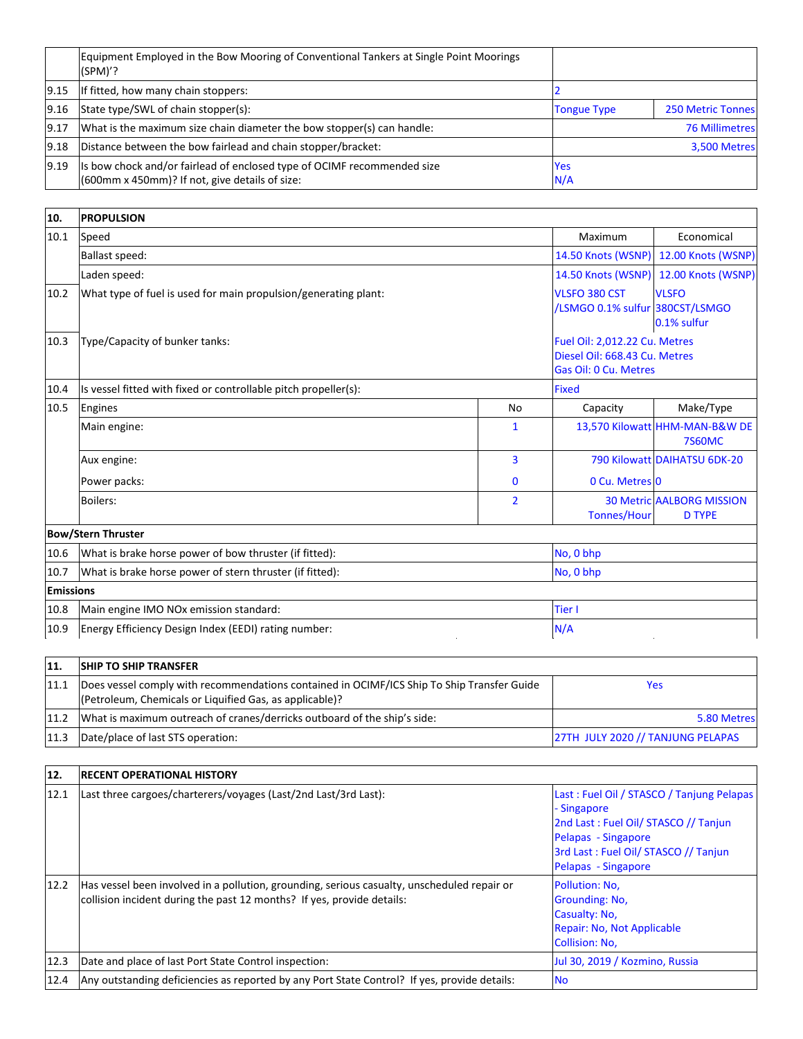|      | Equipment Employed in the Bow Mooring of Conventional Tankers at Single Point Moorings<br>$(SPM)$ ?                        |                    |                          |
|------|----------------------------------------------------------------------------------------------------------------------------|--------------------|--------------------------|
| 9.15 | If fitted, how many chain stoppers:                                                                                        |                    |                          |
| 9.16 | State type/SWL of chain stopper(s):                                                                                        | <b>Tongue Type</b> | <b>250 Metric Tonnes</b> |
| 9.17 | What is the maximum size chain diameter the bow stopper(s) can handle:                                                     |                    | <b>76 Millimetres</b>    |
| 9.18 | Distance between the bow fairlead and chain stopper/bracket:                                                               | 3,500 Metres       |                          |
| 9.19 | Its bow chock and/or fairlead of enclosed type of OCIMF recommended size<br>(600mm x 450mm)? If not, give details of size: | <b>Yes</b><br>N/A  |                          |

| 10.              | <b>PROPULSION</b>                                               |                |                                                                                         |                                                   |
|------------------|-----------------------------------------------------------------|----------------|-----------------------------------------------------------------------------------------|---------------------------------------------------|
| 10.1             | Speed<br><b>Ballast speed:</b>                                  |                | Maximum                                                                                 | Economical                                        |
|                  |                                                                 |                | 14.50 Knots (WSNP)                                                                      | 12.00 Knots (WSNP)                                |
|                  | Laden speed:                                                    |                | 14.50 Knots (WSNP)                                                                      | 12.00 Knots (WSNP)                                |
| 10.2             | What type of fuel is used for main propulsion/generating plant: |                | VLSFO 380 CST<br>/LSMGO 0.1% sulfur 380CST/LSMGO                                        | <b>VLSFO</b><br>0.1% sulfur                       |
| 10.3             | Type/Capacity of bunker tanks:                                  |                | Fuel Oil: 2,012.22 Cu. Metres<br>Diesel Oil: 668.43 Cu. Metres<br>Gas Oil: 0 Cu. Metres |                                                   |
| 10.4             | Is vessel fitted with fixed or controllable pitch propeller(s): |                | <b>Fixed</b>                                                                            |                                                   |
| 10.5             | Engines                                                         | No             | Capacity                                                                                | Make/Type                                         |
|                  | Main engine:                                                    | $\mathbf{1}$   |                                                                                         | 13,570 Kilowatt HHM-MAN-B&W DE<br><b>7S60MC</b>   |
|                  | Aux engine:                                                     | $\overline{3}$ |                                                                                         | 790 Kilowatt DAIHATSU 6DK-20                      |
|                  | Power packs:                                                    | $\mathbf{0}$   | 0 Cu. Metres 0                                                                          |                                                   |
|                  | <b>Boilers:</b>                                                 | $\overline{2}$ | <b>Tonnes/Hour</b>                                                                      | <b>30 Metric AALBORG MISSION</b><br><b>D TYPE</b> |
|                  | <b>Bow/Stern Thruster</b>                                       |                |                                                                                         |                                                   |
| 10.6             | What is brake horse power of bow thruster (if fitted):          |                | No, 0 bhp                                                                               |                                                   |
| 10.7             | What is brake horse power of stern thruster (if fitted):        |                | No, 0 bhp                                                                               |                                                   |
| <b>Emissions</b> |                                                                 |                |                                                                                         |                                                   |
| 10.8             | Main engine IMO NOx emission standard:                          | <b>Tier I</b>  |                                                                                         |                                                   |
| 10.9             | Energy Efficiency Design Index (EEDI) rating number:            | N/A            |                                                                                         |                                                   |

| <sup>11</sup> | <b>SHIP TO SHIP TRANSFER</b>                                                                                                                          |                                   |
|---------------|-------------------------------------------------------------------------------------------------------------------------------------------------------|-----------------------------------|
| 11.1          | Does vessel comply with recommendations contained in OCIMF/ICS Ship To Ship Transfer Guide<br>(Petroleum, Chemicals or Liquified Gas, as applicable)? | Yes                               |
| 11.2          | What is maximum outreach of cranes/derricks outboard of the ship's side:                                                                              | 5.80 Metres                       |
| 11.3          | Date/place of last STS operation:                                                                                                                     | 27TH JULY 2020 // TANJUNG PELAPAS |
|               |                                                                                                                                                       |                                   |
| 12.           | <b>RECENT OPERATIONAL HISTORY</b>                                                                                                                     |                                   |

## **12. RECENT OPERATIONAL HISTORY**

| 12.  | <b>IRECENT OPERATIONAL HISTORY</b>                                                                                                                                    |                                                                                                                                                                                        |
|------|-----------------------------------------------------------------------------------------------------------------------------------------------------------------------|----------------------------------------------------------------------------------------------------------------------------------------------------------------------------------------|
| 12.1 | Last three cargoes/charterers/voyages (Last/2nd Last/3rd Last):                                                                                                       | Last: Fuel Oil / STASCO / Tanjung Pelapas<br>- Singapore<br>2nd Last: Fuel Oil/ STASCO // Tanjun<br>Pelapas - Singapore<br>3rd Last: Fuel Oil/ STASCO // Tanjun<br>Pelapas - Singapore |
| 12.2 | Has vessel been involved in a pollution, grounding, serious casualty, unscheduled repair or<br>collision incident during the past 12 months? If yes, provide details: | Pollution: No.<br>Grounding: No,<br>Casualty: No,<br>Repair: No, Not Applicable<br><b>Collision: No.</b>                                                                               |
| 12.3 | Date and place of last Port State Control inspection:                                                                                                                 | Jul 30, 2019 / Kozmino, Russia                                                                                                                                                         |
| 12.4 | Any outstanding deficiencies as reported by any Port State Control? If yes, provide details:                                                                          | <b>No</b>                                                                                                                                                                              |